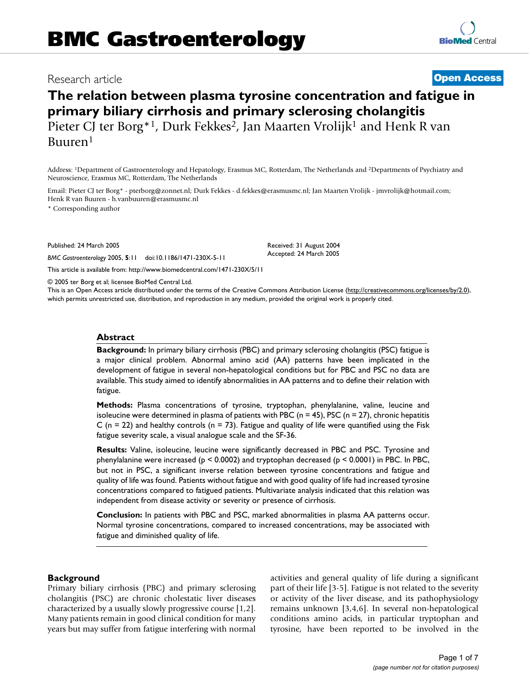# Research article **[Open Access](http://www.biomedcentral.com/info/about/charter/)**

# **The relation between plasma tyrosine concentration and fatigue in primary biliary cirrhosis and primary sclerosing cholangitis** Pieter CJ ter Borg<sup>\*1</sup>, Durk Fekkes<sup>2</sup>, Jan Maarten Vrolijk<sup>1</sup> and Henk R van Buuren1

Address: 1Department of Gastroenterology and Hepatology, Erasmus MC, Rotterdam, The Netherlands and 2Departments of Psychiatry and Neuroscience, Erasmus MC, Rotterdam, The Netherlands

Email: Pieter CJ ter Borg\* - pterborg@zonnet.nl; Durk Fekkes - d.fekkes@erasmusmc.nl; Jan Maarten Vrolijk - jmvrolijk@hotmail.com; Henk R van Buuren - h.vanbuuren@erasmusmc.nl

\* Corresponding author

Published: 24 March 2005

*BMC Gastroenterology* 2005, **5**:11 doi:10.1186/1471-230X-5-11

[This article is available from: http://www.biomedcentral.com/1471-230X/5/11](http://www.biomedcentral.com/1471-230X/5/11)

© 2005 ter Borg et al; licensee BioMed Central Ltd.

This is an Open Access article distributed under the terms of the Creative Commons Attribution License [\(http://creativecommons.org/licenses/by/2.0\)](http://creativecommons.org/licenses/by/2.0), which permits unrestricted use, distribution, and reproduction in any medium, provided the original work is properly cited.

Received: 31 August 2004 Accepted: 24 March 2005

### **Abstract**

**Background:** In primary biliary cirrhosis (PBC) and primary sclerosing cholangitis (PSC) fatigue is a major clinical problem. Abnormal amino acid (AA) patterns have been implicated in the development of fatigue in several non-hepatological conditions but for PBC and PSC no data are available. This study aimed to identify abnormalities in AA patterns and to define their relation with fatigue.

**Methods:** Plasma concentrations of tyrosine, tryptophan, phenylalanine, valine, leucine and isoleucine were determined in plasma of patients with PBC ( $n = 45$ ), PSC ( $n = 27$ ), chronic hepatitis C ( $n = 22$ ) and healthy controls ( $n = 73$ ). Fatigue and quality of life were quantified using the Fisk fatigue severity scale, a visual analogue scale and the SF-36.

**Results:** Valine, isoleucine, leucine were significantly decreased in PBC and PSC. Tyrosine and phenylalanine were increased (p < 0.0002) and tryptophan decreased (p < 0.0001) in PBC. In PBC, but not in PSC, a significant inverse relation between tyrosine concentrations and fatigue and quality of life was found. Patients without fatigue and with good quality of life had increased tyrosine concentrations compared to fatigued patients. Multivariate analysis indicated that this relation was independent from disease activity or severity or presence of cirrhosis.

**Conclusion:** In patients with PBC and PSC, marked abnormalities in plasma AA patterns occur. Normal tyrosine concentrations, compared to increased concentrations, may be associated with fatigue and diminished quality of life.

#### **Background**

Primary biliary cirrhosis (PBC) and primary sclerosing cholangitis (PSC) are chronic cholestatic liver diseases characterized by a usually slowly progressive course [1,2]. Many patients remain in good clinical condition for many years but may suffer from fatigue interfering with normal activities and general quality of life during a significant part of their life [3-5]. Fatigue is not related to the severity or activity of the liver disease, and its pathophysiology remains unknown [3,4,6]. In several non-hepatological conditions amino acids, in particular tryptophan and tyrosine, have been reported to be involved in the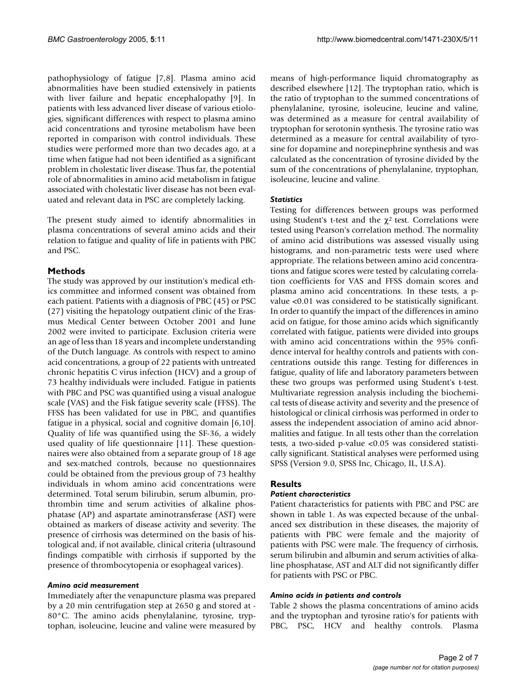pathophysiology of fatigue [7,8]. Plasma amino acid abnormalities have been studied extensively in patients with liver failure and hepatic encephalopathy [9]. In patients with less advanced liver disease of various etiologies, significant differences with respect to plasma amino acid concentrations and tyrosine metabolism have been reported in comparison with control individuals. These studies were performed more than two decades ago, at a time when fatigue had not been identified as a significant problem in cholestatic liver disease. Thus far, the potential role of abnormalities in amino acid metabolism in fatigue associated with cholestatic liver disease has not been evaluated and relevant data in PSC are completely lacking.

The present study aimed to identify abnormalities in plasma concentrations of several amino acids and their relation to fatigue and quality of life in patients with PBC and PSC.

# **Methods**

The study was approved by our institution's medical ethics committee and informed consent was obtained from each patient. Patients with a diagnosis of PBC (45) or PSC (27) visiting the hepatology outpatient clinic of the Erasmus Medical Center between October 2001 and June 2002 were invited to participate. Exclusion criteria were an age of less than 18 years and incomplete understanding of the Dutch language. As controls with respect to amino acid concentrations, a group of 22 patients with untreated chronic hepatitis C virus infection (HCV) and a group of 73 healthy individuals were included. Fatigue in patients with PBC and PSC was quantified using a visual analogue scale (VAS) and the Fisk fatigue severity scale (FFSS). The FFSS has been validated for use in PBC, and quantifies fatigue in a physical, social and cognitive domain [6,10]. Quality of life was quantified using the SF-36, a widely used quality of life questionnaire [11]. These questionnaires were also obtained from a separate group of 18 age and sex-matched controls, because no questionnaires could be obtained from the previous group of 73 healthy individuals in whom amino acid concentrations were determined. Total serum bilirubin, serum albumin, prothrombin time and serum activities of alkaline phosphatase (AP) and aspartate aminotransferase (AST) were obtained as markers of disease activity and severity. The presence of cirrhosis was determined on the basis of histological and, if not available, clinical criteria (ultrasound findings compatible with cirrhosis if supported by the presence of thrombocytopenia or esophageal varices).

# *Amino acid measurement*

Immediately after the venapuncture plasma was prepared by a 20 min centrifugation step at 2650 g and stored at - 80°C. The amino acids phenylalanine, tyrosine, tryptophan, isoleucine, leucine and valine were measured by means of high-performance liquid chromatography as described elsewhere [12]. The tryptophan ratio, which is the ratio of tryptophan to the summed concentrations of phenylalanine, tyrosine, isoleucine, leucine and valine, was determined as a measure for central availability of tryptophan for serotonin synthesis. The tyrosine ratio was determined as a measure for central availability of tyrosine for dopamine and norepinephrine synthesis and was calculated as the concentration of tyrosine divided by the sum of the concentrations of phenylalanine, tryptophan, isoleucine, leucine and valine.

# *Statistics*

Testing for differences between groups was performed using Student's t-test and the  $\chi^2$  test. Correlations were tested using Pearson's correlation method. The normality of amino acid distributions was assessed visually using histograms, and non-parametric tests were used where appropriate. The relations between amino acid concentrations and fatigue scores were tested by calculating correlation coefficients for VAS and FFSS domain scores and plasma amino acid concentrations. In these tests, a pvalue <0.01 was considered to be statistically significant. In order to quantify the impact of the differences in amino acid on fatigue, for those amino acids which significantly correlated with fatigue, patients were divided into groups with amino acid concentrations within the 95% confidence interval for healthy controls and patients with concentrations outside this range. Testing for differences in fatigue, quality of life and laboratory parameters between these two groups was performed using Student's t-test. Multivariate regression analysis including the biochemical tests of disease activity and severity and the presence of histological or clinical cirrhosis was performed in order to assess the independent association of amino acid abnormalities and fatigue. In all tests other than the correlation tests, a two-sided p-value <0.05 was considered statistically significant. Statistical analyses were performed using SPSS (Version 9.0, SPSS Inc, Chicago, IL, U.S.A).

# **Results**

# *Patient characteristics*

Patient characteristics for patients with PBC and PSC are shown in table [1](#page-2-0). As was expected because of the unbalanced sex distribution in these diseases, the majority of patients with PBC were female and the majority of patients with PSC were male. The frequency of cirrhosis, serum bilirubin and albumin and serum activities of alkaline phosphatase, AST and ALT did not significantly differ for patients with PSC or PBC.

# *Amino acids in patients and controls*

Table [2](#page-2-1) shows the plasma concentrations of amino acids and the tryptophan and tyrosine ratio's for patients with PBC, PSC, HCV and healthy controls. Plasma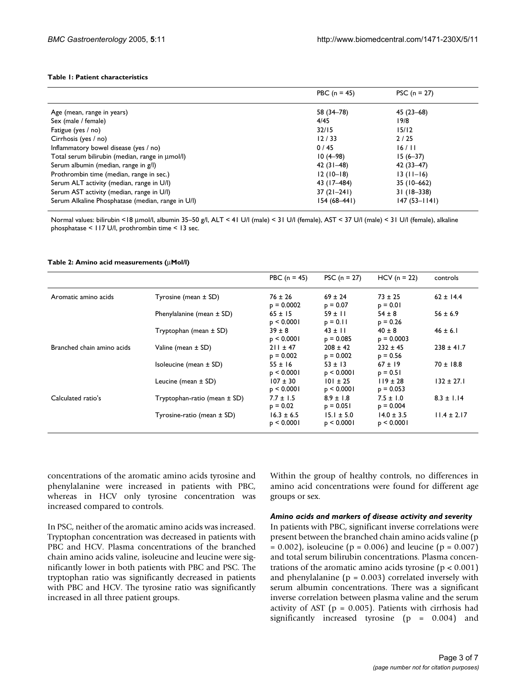#### <span id="page-2-0"></span>**Table 1: Patient characteristics**

|                                                   | PBC $(n = 45)$ | PSC ( $n = 27$ ) |
|---------------------------------------------------|----------------|------------------|
| Age (mean, range in years)                        | 58 (34-78)     | $45(23-68)$      |
| Sex (male / female)                               | 4/45           | 19/8             |
| Fatigue (yes / no)                                | 32/15          | 15/12            |
| Cirrhosis (yes / no)                              | 12/33          | 2/25             |
| Inflammatory bowel disease (yes / no)             | 0/45           | 16/11            |
| Total serum bilirubin (median, range in µmol/l)   | $10(4-98)$     | $15(6-37)$       |
| Serum albumin (median, range in g/l)              | $42(31-48)$    | $42(33 - 47)$    |
| Prothrombin time (median, range in sec.)          | $12(10-18)$    | $13(11-16)$      |
| Serum ALT activity (median, range in U/I)         | 43 (17-484)    | 35 (10 - 662)    |
| Serum AST activity (median, range in U/I)         | $37(21-241)$   | $31(18-338)$     |
| Serum Alkaline Phosphatase (median, range in U/I) | $154(68-441)$  | $147(53 - 1141)$ |

Normal values: bilirubin <18 µmol/l, albumin 35–50 g/l, ALT < 41 U/l (male) < 31 U/l (female), AST < 37 U/l (male) < 31 U/l (female), alkaline phosphatase < 117 U/l, prothrombin time < 13 sec.

#### <span id="page-2-1"></span>**Table 2: Amino acid measurements (**µ**Mol/l)**

|                            |                                | PBC $(n = 45)$                 | PSC $(n = 27)$                  | $HCV (n = 22)$                    | controls        |
|----------------------------|--------------------------------|--------------------------------|---------------------------------|-----------------------------------|-----------------|
| Aromatic amino acids       | Tyrosine (mean $\pm$ SD)       | $76 \pm 26$<br>$p = 0.0002$    | $69 \pm 24$<br>$p = 0.07$       | $73 \pm 25$<br>$p = 0.01$         | $62 \pm 14.4$   |
|                            | Phenylalanine (mean $\pm$ SD)  | $65 \pm 15$<br>p < 0.0001      | $59 \pm 11$<br>$p = 0.11$       | $54 \pm 8$<br>$p = 0.26$          | $56 \pm 6.9$    |
|                            | Tryptophan (mean $\pm$ SD)     | $39 \pm 8$<br>$p \le 0.0001$   | $43 \pm 11$<br>$p = 0.085$      | $40 \pm 8$<br>$p = 0.0003$        | $46 \pm 6.1$    |
| Branched chain amino acids | Valine (mean $\pm$ SD)         | $211 \pm 47$<br>$p = 0.002$    | $208 \pm 42$<br>$p = 0.002$     | $232 \pm 45$<br>$p = 0.56$        | $238 \pm 41.7$  |
|                            | Isoleucine (mean $\pm$ SD)     | $55 \pm 16$<br>p < 0.0001      | $53 \pm 13$<br>p < 0.0001       | $67 \pm 19$<br>$p = 0.51$         | $70 \pm 18.8$   |
|                            | Leucine (mean $\pm$ SD)        | $107 \pm 30$<br>$p \le 0.0001$ | $101 \pm 25$<br>$p \leq 0.0001$ | $119 \pm 28$<br>$p = 0.053$       | $132 \pm 27.1$  |
| Calculated ratio's         | Tryptophan-ratio (mean ± SD)   | $7.7 \pm 1.5$<br>$p = 0.02$    | $8.9 \pm 1.8$<br>$p = 0.051$    | $7.5 \pm 1.0$<br>$p = 0.004$      | $8.3 \pm 1.14$  |
|                            | Tyrosine-ratio (mean $\pm$ SD) | $16.3 \pm 6.5$<br>p < 0.0001   | $15.1 \pm 5.0$<br>p < 0.0001    | $14.0 \pm 3.5$<br>$p \leq 0.0001$ | $11.4 \pm 2.17$ |

concentrations of the aromatic amino acids tyrosine and phenylalanine were increased in patients with PBC, whereas in HCV only tyrosine concentration was increased compared to controls.

In PSC, neither of the aromatic amino acids was increased. Tryptophan concentration was decreased in patients with PBC and HCV. Plasma concentrations of the branched chain amino acids valine, isoleucine and leucine were significantly lower in both patients with PBC and PSC. The tryptophan ratio was significantly decreased in patients with PBC and HCV. The tyrosine ratio was significantly increased in all three patient groups.

Within the group of healthy controls, no differences in amino acid concentrations were found for different age groups or sex.

#### *Amino acids and markers of disease activity and severity*

In patients with PBC, significant inverse correlations were present between the branched chain amino acids valine (p  $= 0.002$ ), isoleucine (p = 0.006) and leucine (p = 0.007) and total serum bilirubin concentrations. Plasma concentrations of the aromatic amino acids tyrosine ( $p < 0.001$ ) and phenylalanine ( $p = 0.003$ ) correlated inversely with serum albumin concentrations. There was a significant inverse correlation between plasma valine and the serum activity of AST ( $p = 0.005$ ). Patients with cirrhosis had significantly increased tyrosine (p = 0.004) and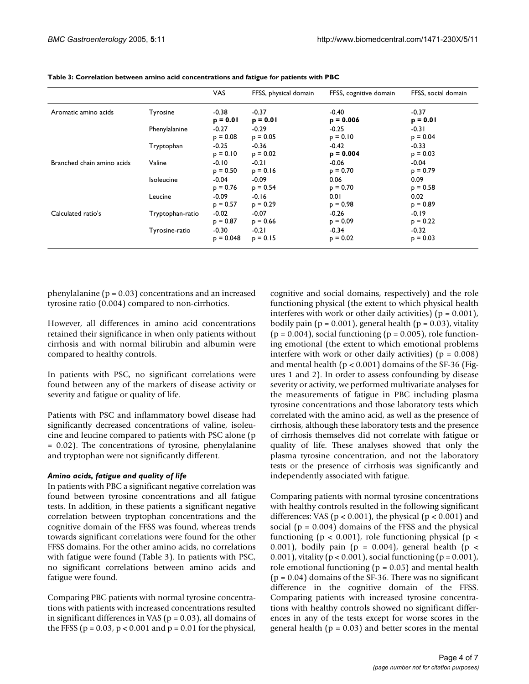|                            |                  | <b>VAS</b>  | FFSS, physical domain | FFSS, cognitive domain | FFSS, social domain |
|----------------------------|------------------|-------------|-----------------------|------------------------|---------------------|
| Aromatic amino acids       | <b>Tyrosine</b>  | $-0.38$     | $-0.37$               | $-0.40$                | $-0.37$             |
|                            |                  | $p = 0.01$  | $p = 0.01$            | $p = 0.006$            | $p = 0.01$          |
|                            | Phenylalanine    | $-0.27$     | $-0.29$               | $-0.25$                | $-0.31$             |
|                            |                  | $p = 0.08$  | $p = 0.05$            | $p = 0.10$             | $p = 0.04$          |
|                            | Tryptophan       | $-0.25$     | $-0.36$               | $-0.42$                | $-0.33$             |
|                            |                  | $p = 0.10$  | $p = 0.02$            | $p = 0.004$            | $p = 0.03$          |
| Branched chain amino acids | Valine           | $-0.10$     | $-0.21$               | $-0.06$                | $-0.04$             |
|                            |                  | $p = 0.50$  | $p = 0.16$            | $p = 0.70$             | $p = 0.79$          |
|                            | Isoleucine       | $-0.04$     | $-0.09$               | 0.06                   | 0.09                |
|                            |                  | $p = 0.76$  | $p = 0.54$            | $p = 0.70$             | $p = 0.58$          |
|                            | Leucine          | -0.09       | $-0.16$               | 0.01                   | 0.02                |
|                            |                  | $p = 0.57$  | $p = 0.29$            | $p = 0.98$             | $p = 0.89$          |
| Calculated ratio's         | Tryptophan-ratio | -0.02       | $-0.07$               | $-0.26$                | $-0.19$             |
|                            |                  | $p = 0.87$  | $p = 0.66$            | $p = 0.09$             | $p = 0.22$          |
|                            | Tyrosine-ratio   | $-0.30$     | $-0.21$               | $-0.34$                | $-0.32$             |
|                            |                  | $p = 0.048$ | $p = 0.15$            | $p = 0.02$             | $p = 0.03$          |

| Table 3: Correlation between amino acid concentrations and fatigue for patients with PBC |  |  |  |
|------------------------------------------------------------------------------------------|--|--|--|
|------------------------------------------------------------------------------------------|--|--|--|

phenylalanine ( $p = 0.03$ ) concentrations and an increased tyrosine ratio (0.004) compared to non-cirrhotics.

However, all differences in amino acid concentrations retained their significance in when only patients without cirrhosis and with normal bilirubin and albumin were compared to healthy controls.

In patients with PSC, no significant correlations were found between any of the markers of disease activity or severity and fatigue or quality of life.

Patients with PSC and inflammatory bowel disease had significantly decreased concentrations of valine, isoleucine and leucine compared to patients with PSC alone (p = 0.02). The concentrations of tyrosine, phenylalanine and tryptophan were not significantly different.

# *Amino acids, fatigue and quality of life*

In patients with PBC a significant negative correlation was found between tyrosine concentrations and all fatigue tests. In addition, in these patients a significant negative correlation between tryptophan concentrations and the cognitive domain of the FFSS was found, whereas trends towards significant correlations were found for the other FFSS domains. For the other amino acids, no correlations with fatigue were found (Table 3). In patients with PSC, no significant correlations between amino acids and fatigue were found.

Comparing PBC patients with normal tyrosine concentrations with patients with increased concentrations resulted in significant differences in VAS ( $p = 0.03$ ), all domains of the FFSS ( $p = 0.03$ ,  $p < 0.001$  and  $p = 0.01$  for the physical,

cognitive and social domains, respectively) and the role functioning physical (the extent to which physical health interferes with work or other daily activities)  $(p = 0.001)$ , bodily pain ( $p = 0.001$ ), general health ( $p = 0.03$ ), vitality  $(p = 0.004)$ , social functioning  $(p = 0.005)$ , role functioning emotional (the extent to which emotional problems interfere with work or other daily activities) ( $p = 0.008$ ) and mental health ( $p < 0.001$ ) domains of the SF-36 (Figures [1](#page-4-0) and [2\)](#page-4-1). In order to assess confounding by disease severity or activity, we performed multivariate analyses for the measurements of fatigue in PBC including plasma tyrosine concentrations and those laboratory tests which correlated with the amino acid, as well as the presence of cirrhosis, although these laboratory tests and the presence of cirrhosis themselves did not correlate with fatigue or quality of life. These analyses showed that only the plasma tyrosine concentration, and not the laboratory tests or the presence of cirrhosis was significantly and independently associated with fatigue.

Comparing patients with normal tyrosine concentrations with healthy controls resulted in the following significant differences: VAS ( $p < 0.001$ ), the physical ( $p < 0.001$ ) and social ( $p = 0.004$ ) domains of the FFSS and the physical functioning ( $p < 0.001$ ), role functioning physical ( $p <$ 0.001), bodily pain ( $p = 0.004$ ), general health ( $p <$ 0.001), vitality ( $p < 0.001$ ), social functioning ( $p = 0.001$ ), role emotional functioning ( $p = 0.05$ ) and mental health  $(p = 0.04)$  domains of the SF-36. There was no significant difference in the cognitive domain of the FFSS. Comparing patients with increased tyrosine concentrations with healthy controls showed no significant differences in any of the tests except for worse scores in the general health ( $p = 0.03$ ) and better scores in the mental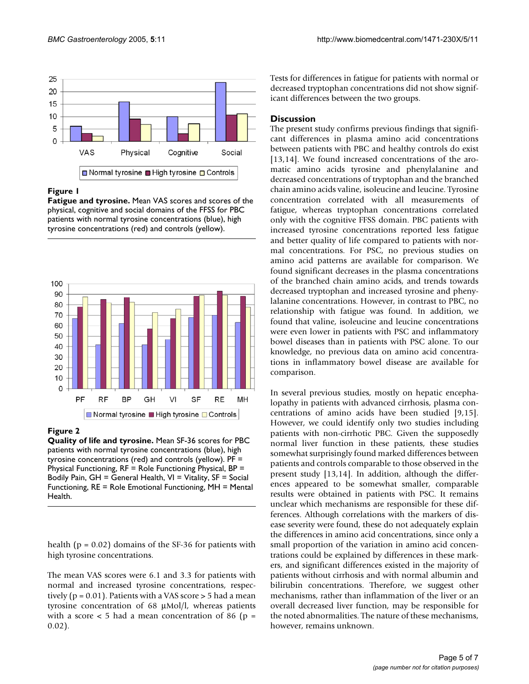<span id="page-4-0"></span>

#### **Figure 1**

**Fatigue and tyrosine.** Mean VAS scores and scores of the physical, cognitive and social domains of the FFSS for PBC patients with normal tyrosine concentrations (blue), high tyrosine concentrations (red) and controls (yellow).

<span id="page-4-1"></span>

#### **Figure 2**

**Quality of life and tyrosine.** Mean SF-36 scores for PBC patients with normal tyrosine concentrations (blue), high tyrosine concentrations (red) and controls (yellow). PF = Physical Functioning, RF = Role Functioning Physical, BP = Bodily Pain, GH = General Health, VI = Vitality, SF = Social Functioning, RE = Role Emotional Functioning, MH = Mental Health.

health ( $p = 0.02$ ) domains of the SF-36 for patients with high tyrosine concentrations.

The mean VAS scores were 6.1 and 3.3 for patients with normal and increased tyrosine concentrations, respectively ( $p = 0.01$ ). Patients with a VAS score  $> 5$  had a mean tyrosine concentration of 68 µMol/l, whereas patients with a score  $<$  5 had a mean concentration of 86 ( $p =$ 0.02).

Tests for differences in fatigue for patients with normal or decreased tryptophan concentrations did not show significant differences between the two groups.

### **Discussion**

The present study confirms previous findings that significant differences in plasma amino acid concentrations between patients with PBC and healthy controls do exist [13,14]. We found increased concentrations of the aromatic amino acids tyrosine and phenylalanine and decreased concentrations of tryptophan and the branched chain amino acids valine, isoleucine and leucine. Tyrosine concentration correlated with all measurements of fatigue, whereas tryptophan concentrations correlated only with the cognitive FFSS domain. PBC patients with increased tyrosine concentrations reported less fatigue and better quality of life compared to patients with normal concentrations. For PSC, no previous studies on amino acid patterns are available for comparison. We found significant decreases in the plasma concentrations of the branched chain amino acids, and trends towards decreased tryptophan and increased tyrosine and phenylalanine concentrations. However, in contrast to PBC, no relationship with fatigue was found. In addition, we found that valine, isoleucine and leucine concentrations were even lower in patients with PSC and inflammatory bowel diseases than in patients with PSC alone. To our knowledge, no previous data on amino acid concentrations in inflammatory bowel disease are available for comparison.

In several previous studies, mostly on hepatic encephalopathy in patients with advanced cirrhosis, plasma concentrations of amino acids have been studied [9,15]. However, we could identify only two studies including patients with non-cirrhotic PBC. Given the supposedly normal liver function in these patients, these studies somewhat surprisingly found marked differences between patients and controls comparable to those observed in the present study [13,14]. In addition, although the differences appeared to be somewhat smaller, comparable results were obtained in patients with PSC. It remains unclear which mechanisms are responsible for these differences. Although correlations with the markers of disease severity were found, these do not adequately explain the differences in amino acid concentrations, since only a small proportion of the variation in amino acid concentrations could be explained by differences in these markers, and significant differences existed in the majority of patients without cirrhosis and with normal albumin and bilirubin concentrations. Therefore, we suggest other mechanisms, rather than inflammation of the liver or an overall decreased liver function, may be responsible for the noted abnormalities. The nature of these mechanisms, however, remains unknown.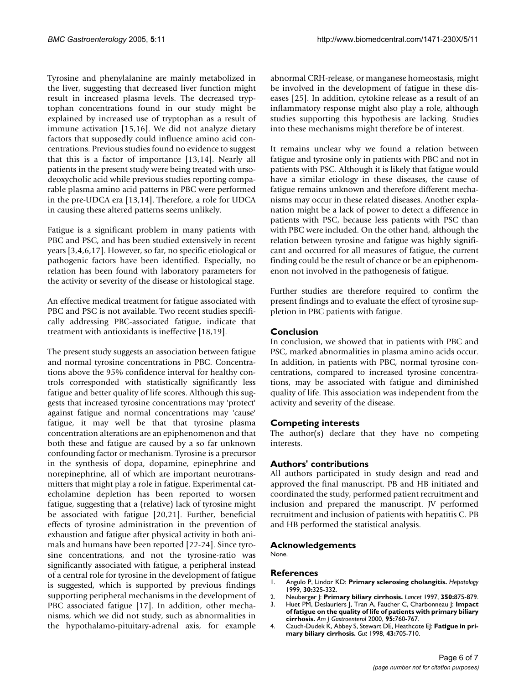Tyrosine and phenylalanine are mainly metabolized in the liver, suggesting that decreased liver function might result in increased plasma levels. The decreased tryptophan concentrations found in our study might be explained by increased use of tryptophan as a result of immune activation [15,16]. We did not analyze dietary factors that supposedly could influence amino acid concentrations. Previous studies found no evidence to suggest that this is a factor of importance [13,14]. Nearly all patients in the present study were being treated with ursodeoxycholic acid while previous studies reporting comparable plasma amino acid patterns in PBC were performed in the pre-UDCA era [13,14]. Therefore, a role for UDCA in causing these altered patterns seems unlikely.

Fatigue is a significant problem in many patients with PBC and PSC, and has been studied extensively in recent years [3,4,6,17]. However, so far, no specific etiological or pathogenic factors have been identified. Especially, no relation has been found with laboratory parameters for the activity or severity of the disease or histological stage.

An effective medical treatment for fatigue associated with PBC and PSC is not available. Two recent studies specifically addressing PBC-associated fatigue, indicate that treatment with antioxidants is ineffective [18,19].

The present study suggests an association between fatigue and normal tyrosine concentrations in PBC. Concentrations above the 95% confidence interval for healthy controls corresponded with statistically significantly less fatigue and better quality of life scores. Although this suggests that increased tyrosine concentrations may 'protect' against fatigue and normal concentrations may 'cause' fatigue, it may well be that that tyrosine plasma concentration alterations are an epiphenomenon and that both these and fatigue are caused by a so far unknown confounding factor or mechanism. Tyrosine is a precursor in the synthesis of dopa, dopamine, epinephrine and norepinephrine, all of which are important neurotransmitters that might play a role in fatigue. Experimental catecholamine depletion has been reported to worsen fatigue, suggesting that a (relative) lack of tyrosine might be associated with fatigue [20,21]. Further, beneficial effects of tyrosine administration in the prevention of exhaustion and fatigue after physical activity in both animals and humans have been reported [22-24]. Since tyrosine concentrations, and not the tyrosine-ratio was significantly associated with fatigue, a peripheral instead of a central role for tyrosine in the development of fatigue is suggested, which is supported by previous findings supporting peripheral mechanisms in the development of PBC associated fatigue [17]. In addition, other mechanisms, which we did not study, such as abnormalities in the hypothalamo-pituitary-adrenal axis, for example abnormal CRH-release, or manganese homeostasis, might be involved in the development of fatigue in these diseases [25]. In addition, cytokine release as a result of an inflammatory response might also play a role, although studies supporting this hypothesis are lacking. Studies into these mechanisms might therefore be of interest.

It remains unclear why we found a relation between fatigue and tyrosine only in patients with PBC and not in patients with PSC. Although it is likely that fatigue would have a similar etiology in these diseases, the cause of fatigue remains unknown and therefore different mechanisms may occur in these related diseases. Another explanation might be a lack of power to detect a difference in patients with PSC, because less patients with PSC than with PBC were included. On the other hand, although the relation between tyrosine and fatigue was highly significant and occurred for all measures of fatigue, the current finding could be the result of chance or be an epiphenomenon not involved in the pathogenesis of fatigue.

Further studies are therefore required to confirm the present findings and to evaluate the effect of tyrosine suppletion in PBC patients with fatigue.

# **Conclusion**

In conclusion, we showed that in patients with PBC and PSC, marked abnormalities in plasma amino acids occur. In addition, in patients with PBC, normal tyrosine concentrations, compared to increased tyrosine concentrations, may be associated with fatigue and diminished quality of life. This association was independent from the activity and severity of the disease.

# **Competing interests**

The author(s) declare that they have no competing interests.

# **Authors' contributions**

All authors participated in study design and read and approved the final manuscript. PB and HB initiated and coordinated the study, performed patient recruitment and inclusion and prepared the manuscript. JV performed recruitment and inclusion of patients with hepatitis C. PB and HB performed the statistical analysis.

# **Acknowledgements**

None.

# **References**

- 1. Angulo P, Lindor KD: **[Primary sclerosing cholangitis.](http://www.ncbi.nlm.nih.gov/entrez/query.fcgi?cmd=Retrieve&db=PubMed&dopt=Abstract&list_uids=10385674)** *Hepatology* 1999, **30:**325-332.
- 2. Neuberger J: **[Primary biliary cirrhosis.](http://www.ncbi.nlm.nih.gov/entrez/query.fcgi?cmd=Retrieve&db=PubMed&dopt=Abstract&list_uids=9310614)** *Lancet* 1997, **350:**875-879.
- 3. Huet PM, Deslauriers J, Tran A, Faucher C, Charbonneau J: **[Impact](http://www.ncbi.nlm.nih.gov/entrez/query.fcgi?cmd=Retrieve&db=PubMed&dopt=Abstract&list_uids=10710071) [of fatigue on the quality of life of patients with primary biliary](http://www.ncbi.nlm.nih.gov/entrez/query.fcgi?cmd=Retrieve&db=PubMed&dopt=Abstract&list_uids=10710071) [cirrhosis.](http://www.ncbi.nlm.nih.gov/entrez/query.fcgi?cmd=Retrieve&db=PubMed&dopt=Abstract&list_uids=10710071)** *Am J Gastroenterol* 2000, **95:**760-767.
- 4. Cauch-Dudek K, Abbey S, Stewart DE, Heathcote EJ: **[Fatigue in pri](http://www.ncbi.nlm.nih.gov/entrez/query.fcgi?cmd=Retrieve&db=PubMed&dopt=Abstract&list_uids=9824355)[mary biliary cirrhosis.](http://www.ncbi.nlm.nih.gov/entrez/query.fcgi?cmd=Retrieve&db=PubMed&dopt=Abstract&list_uids=9824355)** *Gut* 1998, **43:**705-710.